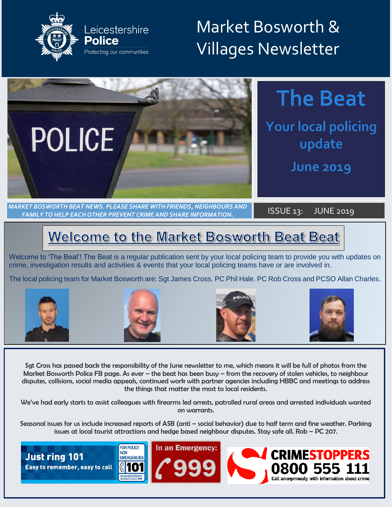

## Market Bosworth & Villages Newsletter



## **The Beat**

**Your local policing** update

**June 2019** 

*MARKET BOSWORTH BEAT NEWS. PLEASE SHARE WITH FRIENDS, NEIGHBOURS AND FAMILY TO HELP EACH OTHER PREVENT CRIME AND SHARE INFORMATION.* ISSUE 13: JUNE 2019

## **Welcome to the Market Bosworth Beat Beat**

Welcome to 'The Beat'! The Beat is a regular publication sent by your local policing team to provide you with updates on crime, investigation results and activities & events that your local policing teams have or are involved in.

The local policing team for Market Bosworth are: Sgt James Cross. PC Phil Hale. PC Rob Cross and PCSO Allan Charles.









Sgt Cross has passed back the responsibility of the June newsletter to me, which means it will be full of photos from the Market Bosworth Police FB page. As ever – the beat has been busy – from the recovery of stolen vehicles, to neighbour disputes, collisions, social media appeals, continued work with partner agencies including HBBC and meetings to address the things that matter the most to local residents.

We've had early starts to assist colleagues with firearms led arrests, patrolled rural areas and arrested individuals wanted on warrants.

Seasonal issues for us include increased reports of ASB (anti – social behavior) due to half term and fine weather. Parking issues at local tourist attractions and hedge based neighbour disputes. Stay safe all. Rob – PC 207.

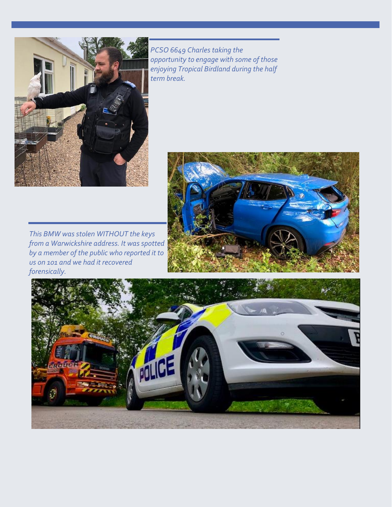

*PCSO 6649 Charles taking the opportunity to engage with some of those enjoying Tropical Birdland during the half term break.*



*This BMW was stolen WITHOUT the keys from a Warwickshire address. It was spotted by a member of the public who reported it to us on 101 and we had it recovered forensically.*